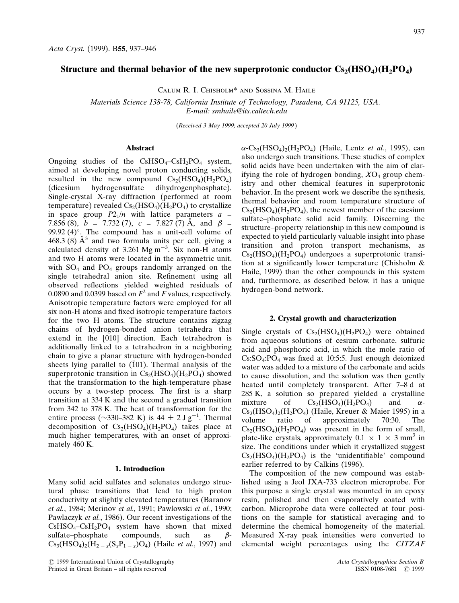## Structure and thermal behavior of the new superprotonic conductor  $Cs_2(HSO_4)(H_2PO_4)$

Calum R. I. Chisholm\* and Sossina M. Haile

Materials Science 138-78, California Institute of Technology, Pasadena, CA 91125, USA. E-mail: smhaile@its.caltech.edu

(Received 3 May 1999; accepted 20 July 1999 )

#### Abstract

Ongoing studies of the  $CsHSO<sub>4</sub>-CsH<sub>2</sub>PO<sub>4</sub>$  system, aimed at developing novel proton conducting solids, resulted in the new compound  $Cs_2(HSO_4)(H_2PO_4)$ <br>(dicesium hydrogensulfate dihydrogenphosphate). (dicesium hydrogensulfate dihydrogenphosphate). Single-crystal X-ray diffraction (performed at room temperature) revealed  $Cs_2(HSO_4)(H_2PO_4)$  to crystallize in space group  $P2_1/n$  with lattice parameters  $a =$ 7.856 (8),  $b = 7.732(7)$ ,  $c = 7.827(7)$  Å, and  $\beta =$ 99.92 (4) $^{\circ}$ . The compound has a unit-cell volume of 468.3 (8)  $A^3$  and two formula units per cell, giving a calculated density of 3.261 Mg m<sup>-3</sup>. Six non-H atoms and two H atoms were located in the asymmetric unit, with  $SO_4$  and  $PO_4$  groups randomly arranged on the single tetrahedral anion site. Refinement using all observed reflections yielded weighted residuals of 0.0890 and 0.0399 based on  $F^2$  and F values, respectively. Anisotropic temperature factors were employed for all six non-H atoms and fixed isotropic temperature factors for the two H atoms. The structure contains zigzag chains of hydrogen-bonded anion tetrahedra that extend in the [010] direction. Each tetrahedron is additionally linked to a tetrahedron in a neighboring chain to give a planar structure with hydrogen-bonded sheets lying parallel to  $(101)$ . Thermal analysis of the superprotonic transition in  $Cs<sub>2</sub>(HSO<sub>4</sub>)(H<sub>2</sub>PO<sub>4</sub>)$  showed that the transformation to the high-temperature phase occurs by a two-step process. The first is a sharp transition at 334 K and the second a gradual transition from 342 to 378 K. The heat of transformation for the entire process ( $\sim$ 330–382 K) is 44  $\pm$  2 J g<sup>-1</sup>. Thermal decomposition of  $Cs_2(HSO_4)(H_2PO_4)$  takes place at much higher temperatures, with an onset of approximately 460 K.

## 1. Introduction

Many solid acid sulfates and selenates undergo structural phase transitions that lead to high proton conductivity at slightly elevated temperatures (Baranov et al., 1984; Merinov et al., 1991; Pawlowski et al., 1990; Pawlaczyk et al., 1986). Our recent investigations of the  $CsHSO<sub>4</sub>-CsH<sub>2</sub>PO<sub>4</sub>$  system have shown that mixed sulfate-phosphate compounds, such as  $\beta$ sulfate-phosphate compounds, such as  $\beta$ - $Cs_3(HSO_4)_2(H_2, (S_3P_{1-x})O_4)$  (Haile *et al.*, 1997) and

 $\bigcirc$  1999 International Union of Crystallography Acta Crystallographica Section B<br>
Printed in Great Britain – all rights reserved (1999) SSN 0108-7681 (201999) Printed in Great Britain - all rights reserved

 $\alpha$ -Cs<sub>3</sub>(HSO<sub>4</sub>)<sub>2</sub>(H<sub>2</sub>PO<sub>4</sub>) (Haile, Lentz *et al.*, 1995), can also undergo such transitions. These studies of complex solid acids have been undertaken with the aim of clarifying the role of hydrogen bonding,  $XO<sub>4</sub>$  group chemistry and other chemical features in superprotonic behavior. In the present work we describe the synthesis, thermal behavior and room temperature structure of  $Cs<sub>2</sub>(HSO<sub>4</sub>)(H<sub>2</sub>PO<sub>4</sub>)$ , the newest member of the caesium sulfate-phosphate solid acid family. Discerning the structure–property relationship in this new compound is expected to yield particularly valuable insight into phase transition and proton transport mechanisms, as  $Cs<sub>2</sub>(HSO<sub>4</sub>)(H<sub>2</sub>PO<sub>4</sub>)$  undergoes a superprotonic transition at a significantly lower temperature (Chisholm  $\&$ Haile, 1999) than the other compounds in this system and, furthermore, as described below, it has a unique hydrogen-bond network.

#### 2. Crystal growth and characterization

Single crystals of  $Cs<sub>2</sub>(HSO<sub>4</sub>)(H<sub>2</sub>PO<sub>4</sub>)$  were obtained from aqueous solutions of cesium carbonate, sulfuric acid and phosphoric acid, in which the mole ratio of  $Cs:SO_4:PO_4$  was fixed at 10:5:5. Just enough deionized water was added to a mixture of the carbonate and acids to cause dissolution, and the solution was then gently heated until completely transparent. After 7-8 d at 285 K, a solution so prepared yielded a crystalline mixture of  $Cs_2(HSO_4)(H_2PO_4)$  and  $\alpha$ - $Cs<sub>3</sub>(HSO<sub>4</sub>)<sub>2</sub>(H<sub>2</sub>PO<sub>4</sub>)$  (Haile, Kreuer & Maier 1995) in a volume ratio of approximately 70:30. The approximately  $Cs<sub>2</sub>(HSO<sub>4</sub>)(H<sub>2</sub>PO<sub>4</sub>)$  was present in the form of small, plate-like crystals, approximately  $0.1 \times 1 \times 3$  mm<sup>3</sup> in size. The conditions under which it crystallized suggest  $Cs<sub>2</sub>(HSO<sub>4</sub>)(H<sub>2</sub>PO<sub>4</sub>)$  is the 'unidentifiable' compound earlier referred to by Calkins (1996).

The composition of the new compound was established using a Jeol JXA-733 electron microprobe. For this purpose a single crystal was mounted in an epoxy resin, polished and then evaporatively coated with carbon. Microprobe data were collected at four positions on the sample for statistical averaging and to determine the chemical homogeneity of the material. Measured X-ray peak intensities were converted to elemental weight percentages using the CITZAF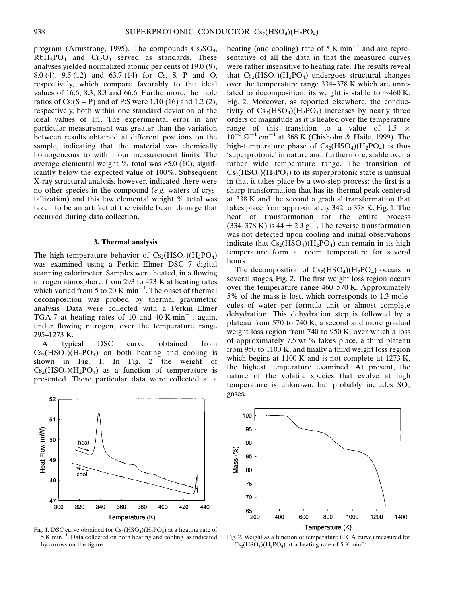program (Armstrong, 1995). The compounds  $Cs<sub>2</sub>SO<sub>4</sub>$ ,  $RbH_2PO_4$  and  $Cr_2O_3$  served as standards. These analyses yielded normalized atomic per cents of 19.0 (9), 8.0 (4), 9.5 (12) and 63.7 (14) for Cs, S, P and O, respectively, which compare favorably to the ideal values of 16.6, 8.3, 8.3 and 66.6. Furthermore, the mole ratios of  $Cs:(S + P)$  and of P:S were 1.10 (16) and 1.2 (2), respectively, both within one standard deviation of the ideal values of 1:1. The experimental error in any particular measurement was greater than the variation between results obtained at different positions on the sample, indicating that the material was chemically homogeneous to within our measurement limits. The average elemental weight % total was 85.0 (10), significantly below the expected value of 100%. Subsequent X-ray structural analysis, however, indicated there were no other species in the compound (e.g. waters of crystallization) and this low elemental weight % total was taken to be an artifact of the visible beam damage that occurred during data collection.

#### 3. Thermal analysis

The high-temperature behavior of  $Cs_2(HSO_4)(H_2PO_4)$ was examined using a Perkin-Elmer DSC 7 digital scanning calorimeter. Samples were heated, in a flowing nitrogen atmosphere, from 293 to 473 K at heating rates which varied from 5 to 20 K min<sup>-1</sup>. The onset of thermal decomposition was probed by thermal gravimetric analysis. Data were collected with a Perkin-Elmer TGA 7 at heating rates of 10 and 40 K min<sup>-1</sup>, again, under flowing nitrogen, over the temperature range 295-1273 K.

A typical DSC curve obtained from  $Cs<sub>2</sub>(HSO<sub>4</sub>)(H<sub>2</sub>PO<sub>4</sub>)$  on both heating and cooling is shown in Fig. 1. In Fig. 2 the weight of  $Cs<sub>2</sub>(HSO<sub>4</sub>)(H<sub>2</sub>PO<sub>4</sub>)$  as a function of temperature is presented. These particular data were collected at a



Fig. 1. DSC curve obtained for  $Cs_2(HSO_4)(H_2PO_4)$  at a heating rate of  $5 K min<sup>-1</sup>$ . Data collected on both heating and cooling, as indicated by arrows on the figure.

heating (and cooling) rate of 5 K min<sup>-1</sup> and are representative of all the data in that the measured curves were rather insensitive to heating rate. The results reveal that  $Cs_2(HSO_4)(H_2PO_4)$  undergoes structural changes over the temperature range  $334-378$  K which are unrelated to decomposition; its weight is stable to  $\sim$ 460 K, Fig. 2. Moreover, as reported elsewhere, the conductivity of  $Cs_2(HSO_4)(H_2PO_4)$  increases by nearly three orders of magnitude as it is heated over the temperature range of this transition to a value of  $1.5 \times 10^{-3}$  or  $^{-1}$   $^{-1}$   $\sim 250 \times 10^{-3}$   $^{-1}$   $^{-1}$   $\sim 1000 \times 10^{-3}$  $10^{-3} \Omega^{-1}$  cm<sup>-1</sup> at 368 K (Chisholm & Haile, 1999). The high-temperature phase of  $Cs_2(HSO_4)(H_2PO_4)$  is thus `superprotonic' in nature and, furthermore, stable over a rather wide temperature range. The transition of  $Cs<sub>2</sub>(HSO<sub>4</sub>)(H<sub>2</sub>PO<sub>4</sub>)$  to its superprotonic state is unusual in that it takes place by a two-step process: the first is a sharp transformation that has its thermal peak centered at 338 K and the second a gradual transformation that takes place from approximately 342 to 378 K, Fig. 1. The heat of transformation for the entire process (334–378 K) is 44  $\pm$  2 J g<sup>-1</sup>. The reverse transformation was not detected upon cooling and initial observations indicate that  $Cs<sub>2</sub>(HSO<sub>4</sub>)(H<sub>2</sub>PO<sub>4</sub>)$  can remain in its high temperature form at room temperature for several hours.

The decomposition of  $Cs_2(HSO_4)(H_2PO_4)$  occurs in several stages, Fig. 2. The first weight loss region occurs over the temperature range  $460-570$  K. Approximately 5% of the mass is lost, which corresponds to 1.3 molecules of water per formula unit or almost complete dehydration. This dehydration step is followed by a plateau from 570 to 740 K, a second and more gradual weight loss region from 740 to 950 K, over which a loss of approximately 7.5 wt % takes place, a third plateau from 950 to  $1100$  K, and finally a third weight loss region which begins at 1100 K and is not complete at 1273 K, the highest temperature examined. At present, the nature of the volatile species that evolve at high temperature is unknown, but probably includes  $SO_x$ gases.



Fig. 2. Weight as a function of temperature (TGA curve) measured for  $\text{Cs}_2(\text{HSO}_4)(\text{H}_2\text{PO}_4)$  at a heating rate of 5 K min<sup>-1</sup>.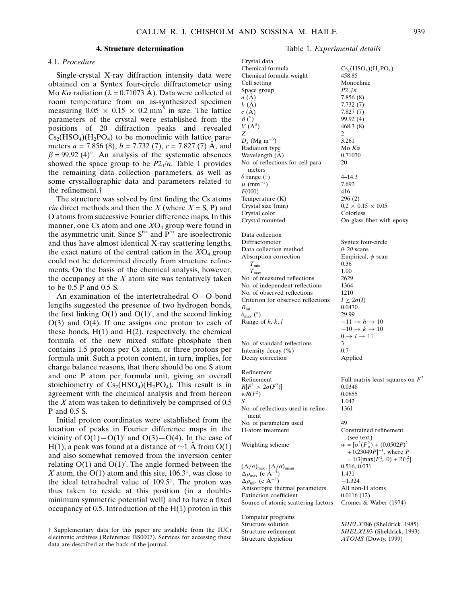## 4. Structure determination

## 4.1. Procedure

Single-crystal X-ray diffraction intensity data were obtained on a Syntex four-circle diffractometer using Mo K $\alpha$  radiation ( $\lambda = 0.71073$  Å). Data were collected at room temperature from an as-synthesized specimen measuring  $0.05 \times 0.15 \times 0.2$  mm<sup>3</sup> in size. The lattice parameters of the crystal were established from the positions of 20 diffraction peaks and revealed  $Cs<sub>2</sub>(HSO<sub>4</sub>)(H<sub>2</sub>PO<sub>4</sub>)$  to be monoclinic with lattice parameters  $a = 7.856 (8)$ ,  $b = 7.732 (7)$ ,  $c = 7.827 (7)$  Å, and  $\beta$  = 99.92 (4)°. An analysis of the systematic absences showed the space group to be  $P2_1/n$ . Table 1 provides the remaining data collection parameters, as well as some crystallographic data and parameters related to the refinement.<sup>†</sup>

The structure was solved by first finding the Cs atoms *via* direct methods and then the X (where  $X = S$ , P) and O atoms from successive Fourier difference maps. In this manner, one Cs atom and one  $XO<sub>4</sub>$  group were found in the asymmetric unit. Since  $S^{6+}$  and  $P^{5+}$  are isoelectronic and thus have almost identical X-ray scattering lengths, the exact nature of the central cation in the  $XO<sub>4</sub>$  group could not be determined directly from structure refinements. On the basis of the chemical analysis, however, the occupancy at the  $X$  atom site was tentatively taken to be 0.5 P and 0.5 S.

An examination of the intertetrahedral  $O-O$  bond lengths suggested the presence of two hydrogen bonds, the first linking  $O(1)$  and  $O(1)'$ , and the second linking  $O(3)$  and  $O(4)$ . If one assigns one proton to each of these bonds,  $H(1)$  and  $H(2)$ , respectively, the chemical formula of the new mixed sulfate-phosphate then contains 1.5 protons per Cs atom, or three protons per formula unit. Such a proton content, in turn, implies, for charge balance reasons, that there should be one S atom and one P atom per formula unit, giving an overall stoichiometry of  $Cs<sub>2</sub>(HSO<sub>4</sub>)(H<sub>2</sub>PO<sub>4</sub>)$ . This result is in agreement with the chemical analysis and from hereon the  $X$  atom was taken to definitively be comprised of 0.5 P and 0.5 S.

Initial proton coordinates were established from the location of peaks in Fourier difference maps in the vicinity of  $O(1)-O(1)$ <sup>'</sup> and  $O(3)-O(4)$ . In the case of H(1), a peak was found at a distance of  $\sim$ 1 Å from O(1) and also somewhat removed from the inversion center relating  $O(1)$  and  $O(1)'$ . The angle formed between the X atom, the  $O(1)$  atom and this site, 106.3°, was close to the ideal tetrahedral value of  $109.5^\circ$ . The proton was thus taken to reside at this position (in a doubleminimum symmetric potential well) and to have a fixed occupancy of 0.5. Introduction of the  $H(1)$  proton in this

## Table 1. Experimental details

| Crystal data                                                                                               |                                                                        |
|------------------------------------------------------------------------------------------------------------|------------------------------------------------------------------------|
| Chemical formula                                                                                           | $Cs_2(HSO_4)(H_2PO_4)$                                                 |
| Chemical formula weight                                                                                    | 458.85                                                                 |
| Cell setting                                                                                               | Monoclinic                                                             |
| Space group                                                                                                | $P2_{1}/n$                                                             |
| a(A)                                                                                                       | 7.856 (8)                                                              |
| b(A)                                                                                                       | 7.732 (7)                                                              |
| c(A)                                                                                                       | 7.827 (7)                                                              |
| $\beta$ (°)                                                                                                | 99.92 (4)                                                              |
| $V(\AA^3)$                                                                                                 | 468.3 (8)                                                              |
| Z                                                                                                          | 2                                                                      |
| $D_x$ (Mg m <sup>-3</sup> )                                                                                | 3.261                                                                  |
| Radiation type                                                                                             | Mo $K\alpha$<br>0.71070                                                |
| Wavelength (A)<br>No. of reflections for cell para-                                                        | 20                                                                     |
| meters                                                                                                     |                                                                        |
| $\theta$ range (°)                                                                                         | $4 - 14.3$                                                             |
| $\mu$ (mm <sup>-1</sup> )                                                                                  | 7.692                                                                  |
| F(000)                                                                                                     | 416                                                                    |
| Temperature (K)                                                                                            | 296 (2)                                                                |
| Crystal size (mm)                                                                                          | $0.2 \times 0.15 \times 0.05$                                          |
| Crystal color                                                                                              | Colorless                                                              |
| Crystal mounted                                                                                            | On glass fiber with epoxy                                              |
|                                                                                                            |                                                                        |
| Data collection                                                                                            |                                                                        |
| Diffractometer                                                                                             | Syntex four-circle                                                     |
| Data collection method                                                                                     | $\theta$ –2 $\theta$ scans                                             |
| Absorption correction                                                                                      | Empirical, $\psi$ scan                                                 |
| $T_{\rm min}$                                                                                              | 0.36                                                                   |
| $T_{\rm max}$                                                                                              | 1.00                                                                   |
| No. of measured reflections                                                                                | 2629                                                                   |
| No. of independent reflections                                                                             | 1364                                                                   |
| No. of observed reflections                                                                                | 1210                                                                   |
| Criterion for observed reflections                                                                         | $I \geq 2\sigma(I)$                                                    |
| $R_{\rm int}$                                                                                              | 0.0470                                                                 |
| $\theta_{\text{max}}$ (°)                                                                                  | 29.99                                                                  |
| Range of $h, k, l$                                                                                         | $-11 \rightarrow h \rightarrow 10$                                     |
|                                                                                                            | $-10 \rightarrow k \rightarrow 10$<br>$0 \rightarrow l \rightarrow 11$ |
| No. of standard reflections                                                                                | 3                                                                      |
| Intensity decay (%)                                                                                        | 0.7                                                                    |
| Decay correction                                                                                           | Applied                                                                |
|                                                                                                            |                                                                        |
| Refinement                                                                                                 |                                                                        |
| Refinement                                                                                                 | Full-matrix least-squares on $F^2$                                     |
| $R[F^2 > 2\sigma(F^2)]$                                                                                    | 0.0348                                                                 |
| $wR(F^2)$                                                                                                  | 0.0855                                                                 |
| S                                                                                                          | 1.042                                                                  |
| No. of reflections used in refine-                                                                         | 1361                                                                   |
| ment                                                                                                       |                                                                        |
| No. of parameters used                                                                                     | 49                                                                     |
| H-atom treatment                                                                                           | Constrained refinement                                                 |
|                                                                                                            | (see text)                                                             |
| Weighting scheme                                                                                           | $w = [\sigma^2(F_o^2) + (0.0502P)^2]$                                  |
|                                                                                                            | + $0.23049P$ ] <sup>-1</sup> , where <i>P</i>                          |
|                                                                                                            | $= 1/3[\max(\overline{F}_o^2, 0) + 2\overline{F}_c^2]$                 |
| $(\Delta/\sigma)_{\text{max}}, (\Delta/\sigma)_{\text{mean}}$<br>$\Delta\rho_{\text{max}}$ (e $\AA^{-3}$ ) | 0.516, 0.031                                                           |
|                                                                                                            | 1.431                                                                  |
| $\Delta \rho_{\text{min}}$ (e Å <sup>-3</sup> )                                                            | $-1.324$                                                               |
| Anisotropic thermal parameters                                                                             | All non-H atoms                                                        |
| Extinction coefficient                                                                                     | 0.0116(12)                                                             |
| Source of atomic scattering factors                                                                        | Cromer & Waber (1974)                                                  |
| Computer programs                                                                                          |                                                                        |
| Structure solution                                                                                         | SHELXS86 (Sheldrick, 1985)                                             |
| Structure refinement                                                                                       | SHELXL93 (Sheldrick, 1993)                                             |
| Structure depiction                                                                                        | $ATOMS$ (Dowty 1999)                                                   |
|                                                                                                            |                                                                        |

² Supplementary data for this paper are available from the IUCr electronic archives (Reference: BS0007). Services for accessing these data are described at the back of the journal.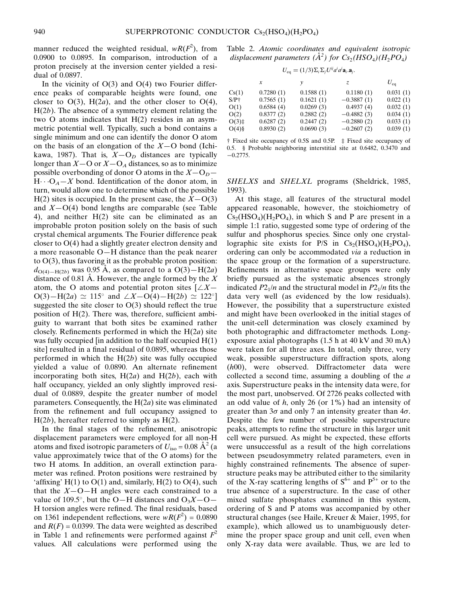manner reduced the weighted residual,  $wR(F^2)$ , from 0.0900 to 0.0895. In comparison, introduction of a proton precisely at the inversion center yielded a residual of 0.0897.

In the vicinity of  $O(3)$  and  $O(4)$  two Fourier difference peaks of comparable heights were found, one closer to  $O(3)$ ,  $H(2a)$ , and the other closer to  $O(4)$ ,  $H(2b)$ . The absence of a symmetry element relating the two O atoms indicates that H(2) resides in an asymmetric potential well. Typically, such a bond contains a single minimum and one can identify the donor O atom on the basis of an elongation of the  $X$ –O bond (Ichikawa, 1987). That is,  $X-O<sub>D</sub>$  distances are typically longer than  $X$ –O or  $X$ –O<sub>A</sub> distances, so as to minimize possible overbonding of donor O atoms in the  $X-O_D$  $H \cdots O_A - X$  bond. Identification of the donor atom, in turn, would allow one to determine which of the possible H(2) sites is occupied. In the present case, the  $X-O(3)$ and  $X-O(4)$  bond lengths are comparable (see Table 4), and neither H(2) site can be eliminated as an improbable proton position solely on the basis of such crystal chemical arguments. The Fourier difference peak closer to O(4) had a slightly greater electron density and a more reasonable  $O-H$  distance than the peak nearer to  $O(3)$ , thus favoring it as the probable proton position:  $d_{O(4)-H(2b)}$  was 0.95 Å, as compared to a  $O(3)-H(2a)$ distance of 0.81 A. However, the angle formed by the  $X$ atom, the O atoms and potential proton sites  $[\angle X -]$  $O(3) - H(2a) \simeq 115^{\circ}$  and  $\angle X-O(4) - H(2b) \simeq 122^{\circ}$ ] suggested the site closer to  $O(3)$  should reflect the true position of  $H(2)$ . There was, therefore, sufficient ambiguity to warrant that both sites be examined rather closely. Refinements performed in which the  $H(2a)$  site was fully occupied [in addition to the half occupied  $H(1)$ ] site] resulted in a final residual of 0.0895, whereas those performed in which the  $H(2b)$  site was fully occupied yielded a value of 0.0890. An alternate refinement incorporating both sites,  $H(2a)$  and  $H(2b)$ , each with half occupancy, yielded an only slightly improved residual of 0.0889, despite the greater number of model parameters. Consequently, the  $H(2a)$  site was eliminated from the refinement and full occupancy assigned to  $H(2b)$ , hereafter referred to simply as  $H(2)$ .

In the final stages of the refinement, anisotropic displacement parameters were employed for all non-H atoms and fixed isotropic parameters of  $U_{\text{iso}} = 0.08 \text{ A}^2$  (a value approximately twice that of the O atoms) for the two H atoms. In addition, an overall extinction parameter was refined. Proton positions were restrained by 'affixing' H(1) to  $O(1)$  and, similarly, H(2) to  $O(4)$ , such that the  $X$ -O-H angles were each constrained to a value of 109.5°, but the O–H distances and  $O_3X-O-$ H torsion angles were refined. The final residuals, based on 1361 independent reflections, were  $wR(F^2) = 0.0890$ and  $R(F) = 0.0399$ . The data were weighted as described in Table 1 and refinements were performed against  $F^2$ values. All calculations were performed using the Table 2. Atomic coordinates and equivalent isotropic displacement parameters ( $A^2$ ) for  $Cs_2(HSO_4)(H_2PO_4)$ 

$$
U_{\text{eq}} = (1/3)\Sigma_i \Sigma_j U^{ij} a^i a^j \mathbf{a}_i \mathbf{a}_j.
$$

|          | x         | ν         | Z.           | $U_{eq}$ |
|----------|-----------|-----------|--------------|----------|
| Cs(1)    | 0.7280(1) | 0.1588(1) | 0.1180(1)    | 0.031(1) |
| $S/P+$   | 0.7565(1) | 0.1621(1) | $-0.3887(1)$ | 0.022(1) |
| O(1)     | 0.6584(4) | 0.0269(3) | 0.4937(4)    | 0.032(1) |
| O(2)     | 0.8377(2) | 0.2882(2) | $-0.4882(3)$ | 0.034(1) |
| $O(3)$ ‡ | 0.6287(2) | 0.2447(2) | $-0.2880(2)$ | 0.033(1) |
| $O(4)$ § | 0.8930(2) | 0.0690(3) | $-0.2607(2)$ | 0.039(1) |
|          |           |           |              |          |

 $\dagger$  Fixed site occupancy of 0.5S and 0.5P.  $\dagger$  Fixed site occupancy of 0.5. § Probable neighboring interstitial site at 0.6482, 0.3470 and  $-0.2775$ .

SHELXS and SHELXL programs (Sheldrick, 1985, 1993).

At this stage, all features of the structural model appeared reasonable, however, the stoichiometry of  $Cs<sub>2</sub>(HSO<sub>4</sub>)(H<sub>2</sub>PO<sub>4</sub>)$ , in which S and P are present in a simple 1:1 ratio, suggested some type of ordering of the sulfur and phosphorus species. Since only one crystallographic site exists for P/S in  $Cs<sub>2</sub>(HSO<sub>4</sub>)(H<sub>2</sub>PO<sub>4</sub>)$ , ordering can only be accommodated via a reduction in the space group or the formation of a superstructure. Refinements in alternative space groups were only briefly pursued as the systematic absences strongly indicated  $P2_1/n$  and the structural model in  $P2_1/n$  fits the data very well (as evidenced by the low residuals). However, the possibility that a superstructure existed and might have been overlooked in the initial stages of the unit-cell determination was closely examined by both photographic and diffractometer methods. Longexposure axial photographs (1.5 h at 40 kV and 30 mA) were taken for all three axes. In total, only three, very weak, possible superstructure diffraction spots, along (h00), were observed. Diffractometer data were collected a second time, assuming a doubling of the a axis. Superstructure peaks in the intensity data were, for the most part, unobserved. Of 2726 peaks collected with an odd value of  $h$ , only 26 (or 1%) had an intensity of greater than  $3\sigma$  and only 7 an intensity greater than  $4\sigma$ . Despite the few number of possible superstructure peaks, attempts to refine the structure in this larger unit cell were pursued. As might be expected, these efforts were unsuccessful as a result of the high correlations between pseudosymmetry related parameters, even in highly constrained refinements. The absence of superstructure peaks may be attributed either to the similarity of the X-ray scattering lengths of  $S^{6+}$  and  $P^{5+}$  or to the true absence of a superstructure. In the case of other mixed sulfate phosphates examined in this system, ordering of S and P atoms was accompanied by other structural changes (see Haile, Kreuer & Maier, 1995, for example), which allowed us to unambiguously determine the proper space group and unit cell, even when only X-ray data were available. Thus, we are led to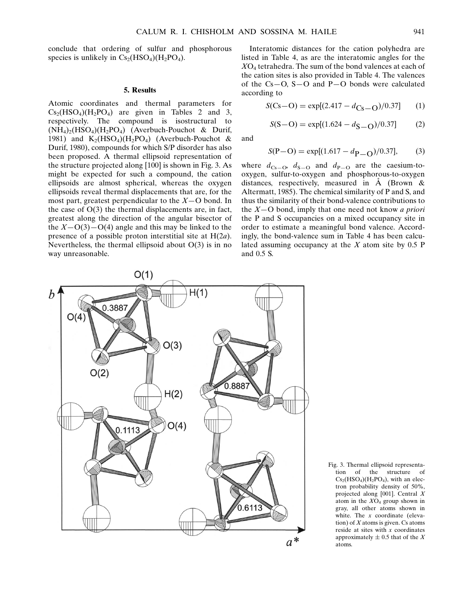conclude that ordering of sulfur and phosphorous species is unlikely in  $Cs_2(HSO_4)(H_2PO_4)$ .

## 5. Results

Atomic coordinates and thermal parameters for  $Cs<sub>2</sub>(HSO<sub>4</sub>)(H<sub>2</sub>PO<sub>4</sub>)$  are given in Tables 2 and 3, respectively. The compound is isostructural to  $(NH_4)_{2}(HSO_4)(H_2PO_4)$  (Averbuch-Pouchot & Durif, 1981) and  $K_2(HSO_4)(H_2PO_4)$  (Averbuch-Pouchot & Durif, 1980), compounds for which S/P disorder has also been proposed. A thermal ellipsoid representation of the structure projected along [100] is shown in Fig. 3. As might be expected for such a compound, the cation ellipsoids are almost spherical, whereas the oxygen ellipsoids reveal thermal displacements that are, for the most part, greatest perpendicular to the  $X$ –O bond. In the case of  $O(3)$  the thermal displacements are, in fact, greatest along the direction of the angular bisector of the  $X-O(3)-O(4)$  angle and this may be linked to the presence of a possible proton interstitial site at  $H(2a)$ . Nevertheless, the thermal ellipsoid about  $O(3)$  is in no way unreasonable.

Interatomic distances for the cation polyhedra are listed in Table 4, as are the interatomic angles for the  $XO<sub>4</sub>$  tetrahedra. The sum of the bond valences at each of the cation sites is also provided in Table 4. The valences of the  $Cs - O$ ,  $S - O$  and  $P - O$  bonds were calculated according to

$$
S(Cs-O) = \exp[(2.417 - d_{Cs-O})/0.37] \tag{1}
$$

$$
S(S - O) = \exp[(1.624 - d_{S - O})/0.37]
$$
 (2)

and

$$
S(P - O) = \exp[(1.617 - d_{P-O})/0.37],
$$
 (3)

where  $d_{\text{Cs}-\text{O}}$ ,  $d_{\text{S}-\text{O}}$  and  $d_{\text{P}-\text{O}}$  are the caesium-tooxygen, sulfur-to-oxygen and phosphorous-to-oxygen distances, respectively, measured in  $\dot{A}$  (Brown & Altermatt, 1985). The chemical similarity of P and S, and thus the similarity of their bond-valence contributions to the  $X$ –O bond, imply that one need not know *a priori* the P and S occupancies on a mixed occupancy site in order to estimate a meaningful bond valence. Accordingly, the bond-valence sum in Table 4 has been calculated assuming occupancy at the  $X$  atom site by 0.5 P and 0.5 S.



Fig. 3. Thermal ellipsoid representation of the structure of  $Cs<sub>2</sub>(HSO<sub>4</sub>)(H<sub>2</sub>PO<sub>4</sub>)$ , with an electron probability density of 50%, projected along [001]. Central X atom in the  $XO<sub>4</sub>$  group shown in gray, all other atoms shown in white. The *x* coordinate (elevation) of  $X$  atoms is given. Cs atoms reside at sites with  $x$  coordinates approximately  $\pm$  0.5 that of the X atoms.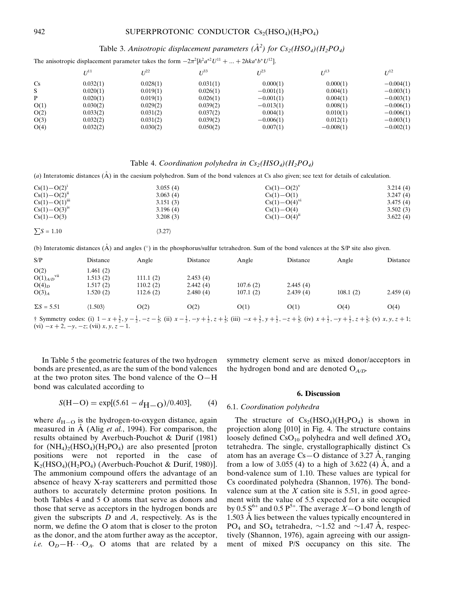# Table 3. Anisotropic displacement parameters  $(\AA^2)$  for  $Cs_2(HSO_4)(H_2PO_4)$

The anisotropic displacement parameter takes the form  $-2\pi^2[h^2a^{*2}U^{11} + ... + 2hka^{*}b^{*}U^{12}]$ .

|                | $I^{11}$ | I/22     | $T^{33}$ | $11^{23}$   | $U^{13}$    | $U^{12}$    |
|----------------|----------|----------|----------|-------------|-------------|-------------|
| C <sub>s</sub> | 0.032(1) | 0.028(1) | 0.031(1) | 0.000(1)    | 0.000(1)    | $-0.004(1)$ |
| S              | 0.020(1) | 0.019(1) | 0.026(1) | $-0.001(1)$ | 0.004(1)    | $-0.003(1)$ |
| P              | 0.020(1) | 0.019(1) | 0.026(1) | $-0.001(1)$ | 0.004(1)    | $-0.003(1)$ |
| O(1)           | 0.030(2) | 0.029(2) | 0.039(2) | $-0.013(1)$ | 0.008(1)    | $-0.006(1)$ |
| O(2)           | 0.033(2) | 0.031(2) | 0.037(2) | 0.004(1)    | 0.010(1)    | $-0.006(1)$ |
| O(3)           | 0.032(2) | 0.031(2) | 0.039(2) | $-0.006(1)$ | 0.012(1)    | $-0.003(1)$ |
| O(4)           | 0.032(2) | 0.030(2) | 0.050(2) | 0.007(1)    | $-0.008(1)$ | $-0.002(1)$ |

## Table 4. Coordination polyhedra in  $Cs_2(HSO_4)(H_2PO_4)$

(a) Interatomic distances  $(\tilde{A})$  in the caesium polyhedron. Sum of the bond valences at Cs also given; see text for details of calculation.

| $Cs(1) - O(2)^{1}$   | 3.055(4)               | $Cs(1) - O(2)^{v}$  | 3.214(4) |
|----------------------|------------------------|---------------------|----------|
| $Cs(1) - O(2)^n$     | 3.063(4)               | $Cs(1) - O(1)$      | 3.247(4) |
| $Cs(1) - O(1)^{iii}$ | 3.151(3)               | $Cs(1) - O(4)^{vi}$ | 3.475(4) |
| $Cs(1) - O(3)iv$     | 3.196(4)               | $Cs(1) - O(4)$      | 3.502(3) |
| $Cs(1) - O(3)$       | 3.208(3)               | $Cs(1) - O(4)^n$    | 3.622(4) |
| $\sum S = 1.10$      | $\langle 3.27 \rangle$ |                     |          |

(b) Interatomic distances  $(\hat{A})$  and angles ( $\degree$ ) in the phosphorus/sulfur tetrahedron. Sum of the bond valences at the S/P site also given.

| S/P               | Distance  | Angle    | Distance | Angle    | Distance | Angle    | Distance |
|-------------------|-----------|----------|----------|----------|----------|----------|----------|
| O(2)              | 1.461 (2) |          |          |          |          |          |          |
| $O(1)_{A/D}$ vii  | 1.513(2)  | 111.1(2) | 2.453(4) |          |          |          |          |
| $O(4)_D$          | 1.517(2)  | 110.2(2) | 2.442(4) | 107.6(2) | 2.445(4) |          |          |
| $O(3)_{A}$        | 1.520(2)  | 112.6(2) | 2.480(4) | 107.1(2) | 2.439(4) | 108.1(2) | 2.459(4) |
| $\Sigma S = 5.51$ | (1.503)   | O(2)     | O(2)     | O(1)     | O(1)     | O(4)     | O(4)     |

 $\frac{1}{2}$  Symmetry codes: (i)  $1 - x + \frac{3}{2}$ ,  $y - \frac{1}{2}$ ,  $-z - \frac{1}{2}$ ; (ii)  $x - \frac{1}{2}$ ,  $-y + \frac{1}{2}$ ,  $z + \frac{1}{2}$ ; (iii)  $-x + \frac{3}{2}$ ,  $y + \frac{1}{2}$ ,  $-z + \frac{1}{2}$ ; (iv)  $x + \frac{1}{2}$ ,  $-y + \frac{1}{2}$ ,  $z + \frac{1}{2}$ ; (v)  $x, y, z + 1$ ; (vi)  $-x + 2, -y, -z$ ; (vii) x, y, z – 1.

In Table 5 the geometric features of the two hydrogen bonds are presented, as are the sum of the bond valences at the two proton sites. The bond valence of the  $O-H$ bond was calculated according to

symmetry element serve as mixed donor/acceptors in the hydrogen bond and are denoted  $O_{A/D}$ .

#### 6. Discussion

### 6.1. Coordination polyhedra

where  $d_{\text{H}-\text{O}}$  is the hydrogen-to-oxygen distance, again measured in  $\AA$  (Alig *et al.*, 1994). For comparison, the results obtained by Averbuch-Pouchot & Durif (1981) for  $(NH_4)_2(HSO_4)(H_2PO_4)$  are also presented [proton positions were not reported in the case of  $K_2(HSO_4)(H_2PO_4)$  (Averbuch-Pouchot & Durif, 1980)]. The ammonium compound offers the advantage of an absence of heavy X-ray scatterers and permitted those authors to accurately determine proton positions. In both Tables 4 and 5 O atoms that serve as donors and those that serve as acceptors in the hydrogen bonds are given the subscripts  $D$  and  $A$ , respectively. As is the norm, we define the O atom that is closer to the proton as the donor, and the atom further away as the acceptor, *i.e.*  $O_D - H \cdot O_A$ . O atoms that are related by a

 $S(H-O) = \exp[(5.61 - d_{H-O})/0.403],$  (4)

The structure of  $Cs_2(HSO_4)(H_2PO_4)$  is shown in projection along [010] in Fig. 4. The structure contains loosely defined  $\text{CsO}_{10}$  polyhedra and well defined  $X\text{O}_4$ tetrahedra. The single, crystallographically distinct Cs atom has an average  $Cs - O$  distance of 3.27 A, ranging from a low of  $3.055(4)$  to a high of  $3.622(4)$  Å, and a bond-valence sum of 1.10. These values are typical for Cs coordinated polyhedra (Shannon, 1976). The bondvalence sum at the  $X$  cation site is 5.51, in good agreement with the value of 5.5 expected for a site occupied by 0.5  $S^{6+}$  and 0.5  $P^{5+}$ . The average  $X$  – O bond length of  $1.503$  Å lies between the values typically encountered in PO<sub>4</sub> and SO<sub>4</sub> tetrahedra,  $\sim$ 1.52 and  $\sim$ 1.47 A<sup> $\rm$ </sup>, respectively (Shannon, 1976), again agreeing with our assignment of mixed P/S occupancy on this site. The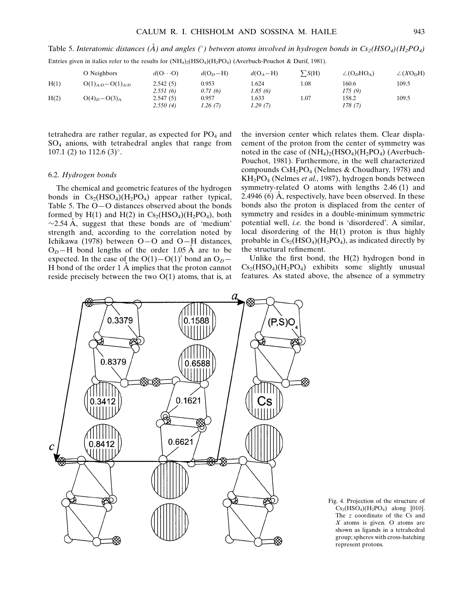Table 5. Interatomic distances ( $\AA$ ) and angles (°) between atoms involved in hydrogen bonds in Cs<sub>2</sub>(HSO<sub>4</sub>)(H<sub>2</sub>PO<sub>4</sub>)

| Entries given in italics refer to the results for $(NH_4)_2(HSO_4)(H_2PO_4)$ (Averbuch-Pouchot & Durif, 1981). |  |  |  |
|----------------------------------------------------------------------------------------------------------------|--|--|--|
|----------------------------------------------------------------------------------------------------------------|--|--|--|

|      | O Neighbors               | $d(O \cdots O)$ | $d(O_p-H)$ | $d(O_A - H)$ | $\sum S(H)$ | $\angle$ (O <sub>n</sub> HO <sub>A</sub> ) | $\angle(XO_DH)$ |
|------|---------------------------|-----------------|------------|--------------|-------------|--------------------------------------------|-----------------|
| H(1) | $O(1)_{A/D} - O(1)_{A/D}$ | 2.542(5)        | 0.953      | 1.624        | 1.08        | 160.6                                      | 109.5           |
|      |                           | 2.551(6)        | 0.71(6)    | 1.85(6)      |             | 175(9)                                     |                 |
| H(2) | $O(4)D - O(3)A$           | 2.547(5)        | 0.957      | 1.633        | 1.07        | 158.2                                      | 109.5           |
|      |                           | 2.550(4)        | 1.26 (7)   | 1.29(7)      |             | 178 (7)                                    |                 |

tetrahedra are rather regular, as expected for  $PO<sub>4</sub>$  and SO4 anions, with tetrahedral angles that range from 107.1 (2) to 112.6 (3)°.

## 6.2. Hydrogen bonds

The chemical and geometric features of the hydrogen bonds in  $Cs_2(HSO_4)(H_2PO_4)$  appear rather typical, Table 5. The  $O-O$  distances observed about the bonds formed by  $H(1)$  and  $H(2)$  in  $Cs<sub>2</sub>(HSO<sub>4</sub>)(H<sub>2</sub>PO<sub>4</sub>)$ , both  $\sim$ 2.54 Å, suggest that these bonds are of 'medium' strength and, according to the correlation noted by Ichikawa (1978) between  $O-O$  and  $O-H$  distances,  $O<sub>D</sub>$ –H bond lengths of the order 1.05 Å are to be expected. In the case of the  $O(1)-O(1)$ <sup>'</sup> bond an  $O<sub>D</sub>$ <sup>-</sup> H bond of the order  $1 \text{ Å}$  implies that the proton cannot reside precisely between the two  $O(1)$  atoms, that is, at the inversion center which relates them. Clear displacement of the proton from the center of symmetry was noted in the case of  $(NH_4)_2(HSO_4)(H_2PO_4)$  (Averbuch-Pouchot, 1981). Furthermore, in the well characterized compounds  $\text{CsH}_2\text{PO}_4$  (Nelmes & Choudhary, 1978) and KH<sub>2</sub>PO<sub>4</sub> (Nelmes *et al.*, 1987), hydrogen bonds between symmetry-related O atoms with lengths 2.46 (1) and 2.4946 (6)  $\AA$ , respectively, have been observed. In these bonds also the proton is displaced from the center of symmetry and resides in a double-minimum symmetric potential well, *i.e.* the bond is 'disordered'. A similar, local disordering of the H(1) proton is thus highly probable in  $Cs<sub>2</sub>(HSO<sub>4</sub>)(H<sub>2</sub>PO<sub>4</sub>)$ , as indicated directly by the structural refinement.

Unlike the first bond, the  $H(2)$  hydrogen bond in  $Cs<sub>2</sub>(HSO<sub>4</sub>)(H<sub>2</sub>PO<sub>4</sub>)$  exhibits some slightly unusual features. As stated above, the absence of a symmetry



Fig. 4. Projection of the structure of  $Cs_2(HSO_4)(H_2PO_4)$  along [010]. The z coordinate of the Cs and  $X$  atoms is given. O atoms are shown as ligands in a tetrahedral group; spheres with cross-hatching represent protons.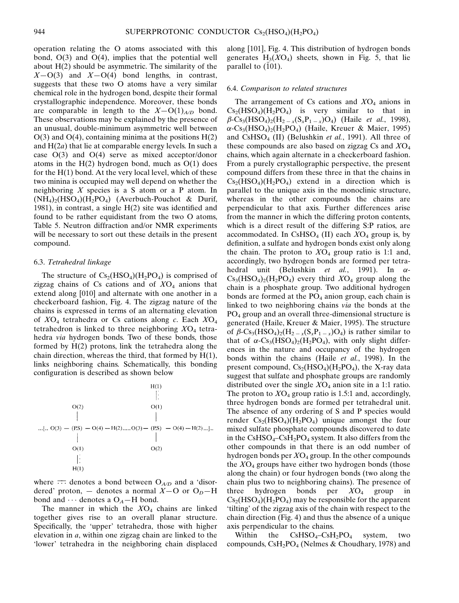operation relating the O atoms associated with this bond,  $O(3)$  and  $O(4)$ , implies that the potential well about H(2) should be asymmetric. The similarity of the  $X-O(3)$  and  $X-O(4)$  bond lengths, in contrast, suggests that these two O atoms have a very similar chemical role in the hydrogen bond, despite their formal crystallographic independence. Moreover, these bonds are comparable in length to the  $X-O(1)_{A/D}$  bond. These observations may be explained by the presence of an unusual, double-minimum asymmetric well between  $O(3)$  and  $O(4)$ , containing minima at the positions  $H(2)$ and  $H(2a)$  that lie at comparable energy levels. In such a case O(3) and O(4) serve as mixed acceptor/donor atoms in the  $H(2)$  hydrogen bond, much as  $O(1)$  does for the  $H(1)$  bond. At the very local level, which of these two minina is occupied may well depend on whether the neighboring  $X$  species is a S atom or a P atom. In  $(NH_4)_2(HSO_4)(H_2PO_4)$  (Averbuch-Pouchot & Durif, 1981), in contrast, a single  $H(2)$  site was identified and found to be rather equidistant from the two O atoms, Table 5. Neutron diffraction and/or NMR experiments will be necessary to sort out these details in the present compound.

#### 6.3. Tetrahedral linkage

The structure of  $Cs_2(HSO_4)(H_2PO_4)$  is comprised of zigzag chains of Cs cations and of  $XO<sub>4</sub>$  anions that extend along [010] and alternate with one another in a checkerboard fashion, Fig. 4. The zigzag nature of the chains is expressed in terms of an alternating elevation of  $XO<sub>4</sub>$  tetrahedra or Cs cations along c. Each  $XO<sub>4</sub>$ tetrahedron is linked to three neighboring  $XO<sub>4</sub>$  tetrahedra via hydrogen bonds. Two of these bonds, those formed by H(2) protons, link the tetrahedra along the chain direction, whereas the third, that formed by  $H(1)$ , links neighboring chains. Schematically, this bonding configuration is described as shown below



where  $\overline{\cdots}$  denotes a bond between  $O_{A/D}$  and a 'disordered' proton,  $-$  denotes a normal  $X$ –O or O<sub>D</sub>–H bond and  $\cdots$  denotes a O<sub>A</sub> $-$ H bond.

The manner in which the  $XO<sub>4</sub>$  chains are linked together gives rise to an overall planar structure. Specifically, the 'upper' tetrahedra, those with higher elevation in a, within one zigzag chain are linked to the `lower' tetrahedra in the neighboring chain displaced along [101], Fig. 4. This distribution of hydrogen bonds generates  $H_3(XO_4)$  sheets, shown in Fig. 5, that lie parallel to  $(101)$ .

#### 6.4. Comparison to related structures

The arrangement of Cs cations and  $XO<sub>4</sub>$  anions in  $Cs<sub>2</sub>(HSO<sub>4</sub>)(H<sub>2</sub>PO<sub>4</sub>)$  is very similar to that in  $\beta$ -Cs<sub>3</sub>(HSO<sub>4</sub>)<sub>2</sub>(H<sub>2 – x</sub>(S<sub>x</sub>P<sub>1 – x</sub>)O<sub>4</sub>) (Haile *et al.*, 1998),  $\alpha$ -Cs<sub>3</sub>(HSO<sub>4</sub>)<sub>2</sub>(H<sub>2</sub>PO<sub>4</sub>) (Haile, Kreuer & Maier, 1995) and CsHSO<sub>4</sub> (II) (Belushkin et al., 1991). All three of these compounds are also based on zigzag Cs and  $XO<sub>4</sub>$ chains, which again alternate in a checkerboard fashion. From a purely crystallographic perspective, the present compound differs from these three in that the chains in  $Cs<sub>2</sub>(HSO<sub>4</sub>)(H<sub>2</sub>PO<sub>4</sub>)$  extend in a direction which is parallel to the unique axis in the monoclinic structure, whereas in the other compounds the chains are perpendicular to that axis. Further differences arise from the manner in which the differing proton contents, which is a direct result of the differing S:P ratios, are accommodated. In CsHSO<sub>4</sub> (II) each  $XO<sub>4</sub>$  group is, by definition, a sulfate and hydrogen bonds exist only along the chain. The proton to  $XO_4$  group ratio is 1:1 and, accordingly, two hydrogen bonds are formed per tetrahedral unit (Belushkin et al., 1991). In  $\alpha$ - $Cs<sub>3</sub>(HSO<sub>4</sub>)<sub>2</sub>(H<sub>2</sub>PO<sub>4</sub>)$  every third  $XO<sub>4</sub>$  group along the chain is a phosphate group. Two additional hydrogen bonds are formed at the  $PO<sub>4</sub>$  anion group, each chain is linked to two neighboring chains via the bonds at the PO<sub>4</sub> group and an overall three-dimensional structure is generated (Haile, Kreuer & Maier, 1995). The structure of  $\beta$ -Cs<sub>3</sub>(HSO<sub>4</sub>)<sub>2</sub>(H<sub>2 – x</sub>(S<sub>x</sub>P<sub>1 – x</sub>)O<sub>4</sub>) is rather similar to that of  $\alpha$ -Cs<sub>3</sub>(HSO<sub>4</sub>)<sub>2</sub>(H<sub>2</sub>PO<sub>4</sub>), with only slight differences in the nature and occupancy of the hydrogen bonds within the chains (Haile et al., 1998). In the present compound,  $Cs<sub>2</sub>(HSO<sub>4</sub>)(H<sub>2</sub>PO<sub>4</sub>)$ , the X-ray data suggest that sulfate and phosphate groups are randomly distributed over the single  $XO<sub>4</sub>$  anion site in a 1:1 ratio. The proton to  $XO_4$  group ratio is 1.5:1 and, accordingly, three hydrogen bonds are formed per tetrahedral unit. The absence of any ordering of S and P species would render  $Cs_2(HSO_4)(H_2PO_4)$  unique amongst the four mixed sulfate phosphate compounds discovered to date in the  $CsHSO<sub>4</sub>-CsH<sub>2</sub>PO<sub>4</sub>$  system. It also differs from the other compounds in that there is an odd number of hydrogen bonds per  $XO_4$  group. In the other compounds the  $XO<sub>4</sub>$  groups have either two hydrogen bonds (those along the chain) or four hydrogen bonds (two along the chain plus two to neighboring chains). The presence of three hydrogen bonds per  $XO<sub>4</sub>$  group in  $Cs<sub>2</sub>(HSO<sub>4</sub>)(H<sub>2</sub>PO<sub>4</sub>)$  may be responsible for the apparent `tilting' of the zigzag axis of the chain with respect to the chain direction (Fig. 4) and thus the absence of a unique axis perpendicular to the chains.

Within the  $CsHSO<sub>4</sub>-CsH<sub>2</sub>PO<sub>4</sub>$  system, two compounds,  $\text{CsH}_2\text{PO}_4$  (Nelmes & Choudhary, 1978) and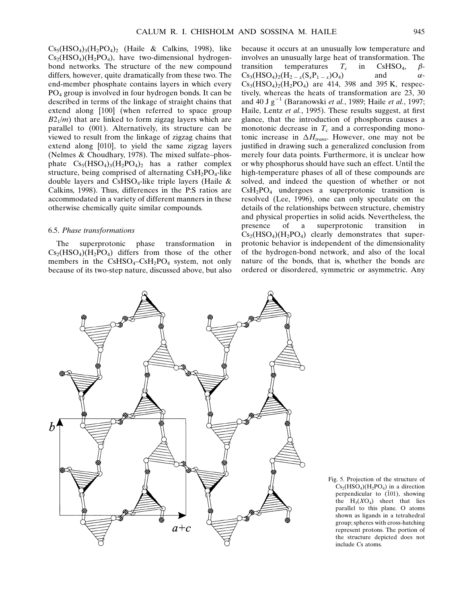$Cs<sub>5</sub>(HSO<sub>4</sub>)<sub>3</sub>(H<sub>2</sub>PO<sub>4</sub>)<sub>2</sub>$  (Haile & Calkins, 1998), like  $Cs<sub>2</sub>(HSO<sub>4</sub>)(H<sub>2</sub>PO<sub>4</sub>)$ , have two-dimensional hydrogenbond networks. The structure of the new compound differs, however, quite dramatically from these two. The end-member phosphate contains layers in which every PO4 group is involved in four hydrogen bonds. It can be described in terms of the linkage of straight chains that extend along [100] (when referred to space group  $B2<sub>1</sub>/m$ ) that are linked to form zigzag layers which are parallel to (001). Alternatively, its structure can be viewed to result from the linkage of zigzag chains that extend along [010], to yield the same zigzag layers (Nelmes  $& Choudhary, 1978$ ). The mixed sulfate-phosphate  $Cs_5(HSO_4)_3(H_2PO_4)_2$  has a rather complex structure, being comprised of alternating  $CsH<sub>2</sub>PO<sub>4</sub>$ -like double layers and CsHSO<sub>4</sub>-like triple layers (Haile  $\&$ Calkins, 1998). Thus, differences in the P:S ratios are accommodated in a variety of different manners in these otherwise chemically quite similar compounds.

## 6.5. Phase transformations

The superprotonic phase transformation in  $Cs<sub>2</sub>(HSO<sub>4</sub>)(H<sub>2</sub>PO<sub>4</sub>)$  differs from those of the other members in the  $CsHSO<sub>4</sub>-CsH<sub>2</sub>PO<sub>4</sub>$  system, not only because of its two-step nature, discussed above, but also because it occurs at an unusually low temperature and involves an unusually large heat of transformation. The transition temperatures  $T_c$  in CsHSO<sub>4</sub>,  $\beta$ -<br>Cs<sub>2</sub>(HSO<sub>4</sub>)<sub>2</sub>(H<sub>2</sub> (S,P<sub>1</sub> )O<sub>4</sub>) and  $\alpha$ - $Cs_3(HSO_4)_2(H_{2-x}(S_xP_{1-x})O_4)$  $Cs_3(HSO_4)_2(H_2PO_4)$  are 414, 398 and 395 K, respectively, whereas the heats of transformation are 23, 30 and 40 J  $g^{-1}$  (Baranowski et al., 1989; Haile et al., 1997; Haile, Lentz et al., 1995). These results suggest, at first glance, that the introduction of phosphorus causes a monotonic decrease in  $T_c$  and a corresponding monotonic increase in  $\Delta H_{trans}$ . However, one may not be justified in drawing such a generalized conclusion from merely four data points. Furthermore, it is unclear how or why phosphorus should have such an effect. Until the high-temperature phases of all of these compounds are solved, and indeed the question of whether or not  $CsH<sub>2</sub>PO<sub>4</sub>$  undergoes a superprotonic transition is resolved (Lee, 1996), one can only speculate on the details of the relationships between structure, chemistry and physical properties in solid acids. Nevertheless, the presence of a superprotonic transition in  $Cs<sub>2</sub>(HSO<sub>4</sub>)(H<sub>2</sub>PO<sub>4</sub>)$  clearly demonstrates that superprotonic behavior is independent of the dimensionality of the hydrogen-bond network, and also of the local nature of the bonds, that is, whether the bonds are ordered or disordered, symmetric or asymmetric. Any



Fig. 5. Projection of the structure of  $Cs<sub>2</sub>(HSO<sub>4</sub>)(H<sub>2</sub>PO<sub>4</sub>)$  in a direction perpendicular to  $(101)$ , showing the  $H_3(XO_4)$  sheet that lies parallel to this plane. O atoms shown as ligands in a tetrahedral group; spheres with cross-hatching represent protons. The portion of the structure depicted does not include Cs atoms.